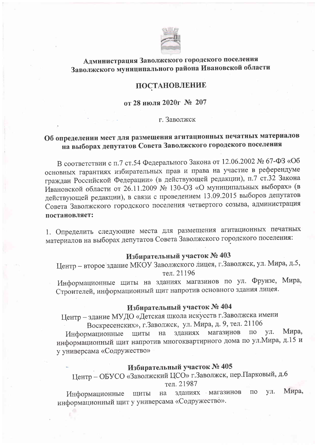

## Администрация Заволжского городского поселения Заволжского муниципального района Ивановской области

#### ПОСТАНОВЛЕНИЕ

от 28 июля 2020г № 207

г. Заволжск

## Об определении мест для размещения агитационных печатных материалов на выборах депутатов Совета Заволжского городского поселения

В соответствии с п.7 ст.54 Федерального Закона от 12.06.2002 № 67-ФЗ «Об основных гарантиях избирательных прав и права на участие в референдуме граждан Российской Федерации» (в действующей редакции), п.7 ст.32 Закона Ивановской области от 26.11.2009 № 130-ОЗ «О муниципальных выборах» (в действующей редакции), в связи с проведением 13.09.2015 выборов депутатов Совета Заволжского городского поселения четвертого созыва, администрация постановляет:

1. Определить следующие места для размещения агитационных печатных материалов на выборах депутатов Совета Заволжского городского поселения:

## Избирательный участок № 403

Центр - второе здание МКОУ Заволжского лицея, г. Заволжск, ул. Мира, д.5, тел. 21196

Информационные щиты на зданиях магазинов по ул. Фрунзе, Мира, Строителей, информационный щит напротив основного здания лицея.

# Избирательный участок № 404

Центр - здание МУДО «Детская школа искусств г. Заволжска имени

Воскресенских», г. Заволжск, ул. Мира, д. 9, тел. 21106

зданиях магазинов Мира,  $\Pi{\rm O}$ yл. Информационные ШИТЫ на информационный щит напротив многоквартирного дома по ул. Мира, д.15 и у универсама «Содружество»

## Избирательный участок № 405

Центр - ОБУСО «Заволжский ЦСО» г. Заволжск, пер. Парковый, д.6 тел. 21987

Мира, VЛ. зданиях магазинов  $\Pi$ O ЩИТЫ на Информационные информационный щит у универсама «Содружество».